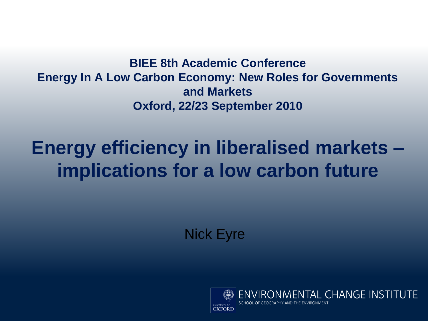#### **BIEE 8th Academic Conference Energy In A Low Carbon Economy: New Roles for Governments and Markets Oxford, 22/23 September 2010**

#### **Energy efficiency in liberalised markets – implications for a low carbon future**

Nick Eyre



ONMENTAL CHANGE INSTITUTE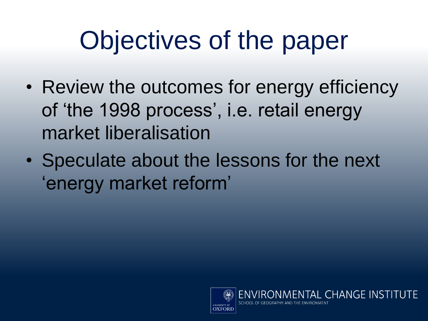# Objectives of the paper

- Review the outcomes for energy efficiency of 'the 1998 process', i.e. retail energy market liberalisation
- Speculate about the lessons for the next 'energy market reform'



**ENTAL CHANGE INSTITUTE**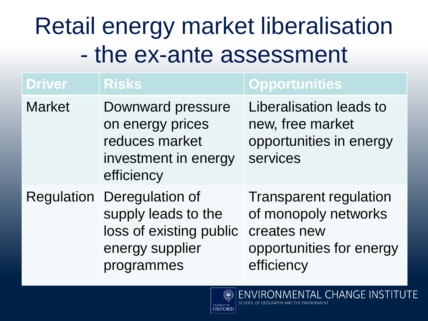#### Retail energy market liberalisation - the ex-ante assessment

| <b>Driver</b> | <b>Risks</b>                                                                                       | <b>Opportunities</b>                                                                                           |
|---------------|----------------------------------------------------------------------------------------------------|----------------------------------------------------------------------------------------------------------------|
| <b>Market</b> | Downward pressure<br>on energy prices<br>reduces market<br>investment in energy<br>efficiency      | Liberalisation leads to<br>new, free market<br>opportunities in energy<br>services                             |
| Regulation    | Deregulation of<br>supply leads to the<br>loss of existing public<br>energy supplier<br>programmes | <b>Transparent regulation</b><br>of monopoly networks<br>creates new<br>opportunities for energy<br>efficiency |

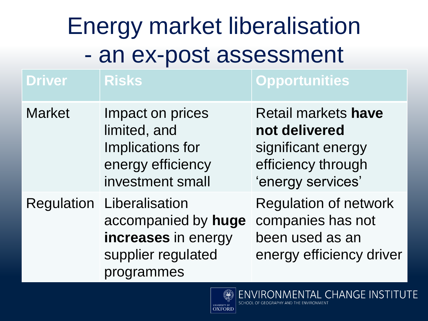### Energy market liberalisation - an ex-post assessment

| <b>Driver</b> | <b>Risks</b>                                                                                     | <b>Opportunities</b>                                                                                         |
|---------------|--------------------------------------------------------------------------------------------------|--------------------------------------------------------------------------------------------------------------|
| <b>Market</b> | Impact on prices<br>limited, and<br>Implications for<br>energy efficiency<br>investment small    | <b>Retail markets have</b><br>not delivered<br>significant energy<br>efficiency through<br>'energy services' |
| Regulation    | Liberalisation<br>accompanied by huge<br>increases in energy<br>supplier regulated<br>programmes | <b>Regulation of network</b><br>companies has not<br>been used as an<br>energy efficiency driver             |

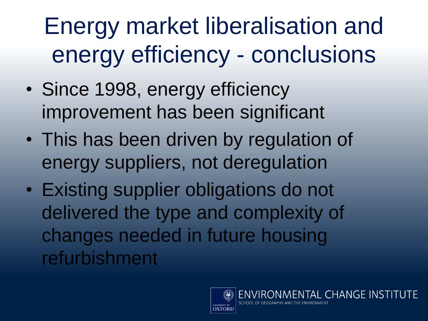Energy market liberalisation and energy efficiency - conclusions

- Since 1998, energy efficiency improvement has been significant
- This has been driven by regulation of energy suppliers, not deregulation
- Existing supplier obligations do not delivered the type and complexity of changes needed in future housing refurbishment

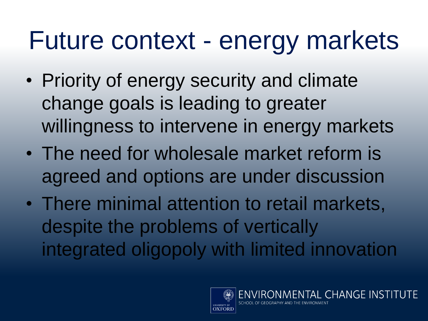### Future context - energy markets

- Priority of energy security and climate change goals is leading to greater willingness to intervene in energy markets
- The need for wholesale market reform is agreed and options are under discussion
- There minimal attention to retail markets, despite the problems of vertically integrated oligopoly with limited innovation

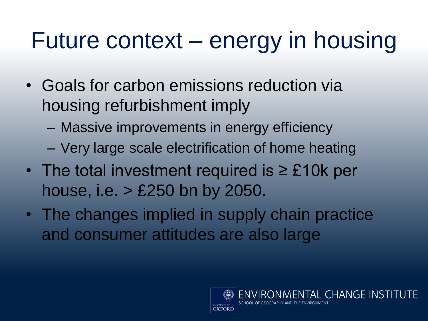#### Future context – energy in housing

- Goals for carbon emissions reduction via housing refurbishment imply
	- Massive improvements in energy efficiency
	- Very large scale electrification of home heating
- The total investment required is ≥ £10k per house, i.e. > £250 bn by 2050.
- The changes implied in supply chain practice and consumer attitudes are also large

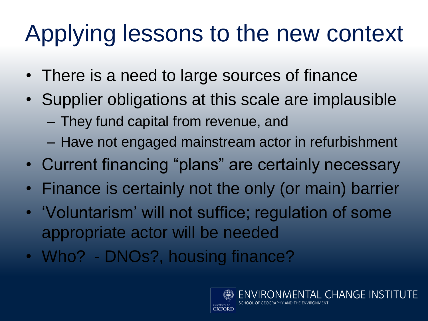### Applying lessons to the new context

- There is a need to large sources of finance
- Supplier obligations at this scale are implausible – They fund capital from revenue, and
	- Have not engaged mainstream actor in refurbishment
- Current financing "plans" are certainly necessary
- Finance is certainly not the only (or main) barrier
- 'Voluntarism' will not suffice; regulation of some appropriate actor will be needed
- Who? DNOs?, housing finance?

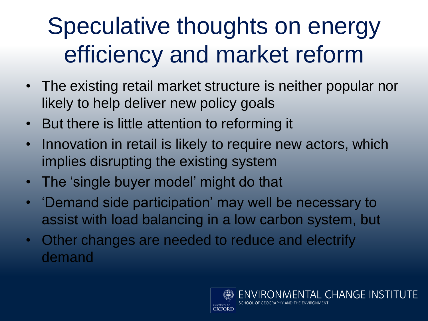#### Speculative thoughts on energy efficiency and market reform

- The existing retail market structure is neither popular nor likely to help deliver new policy goals
- But there is little attention to reforming it
- Innovation in retail is likely to require new actors, which implies disrupting the existing system
- The 'single buyer model' might do that
- 'Demand side participation' may well be necessary to assist with load balancing in a low carbon system, but
- Other changes are needed to reduce and electrify demand